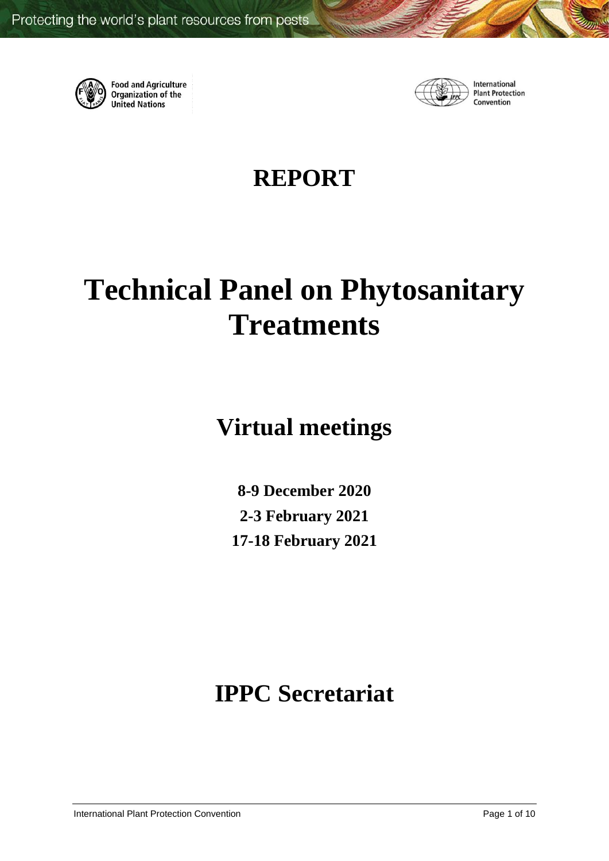

Food and Agriculture<br>Organization of the **United Nations** 



International **Plant Protection** Convention

## **REPORT**

# **Technical Panel on Phytosanitary Treatments**

### **Virtual meetings**

**8-9 December 2020 2-3 February 2021 17-18 February 2021**

# **IPPC Secretariat**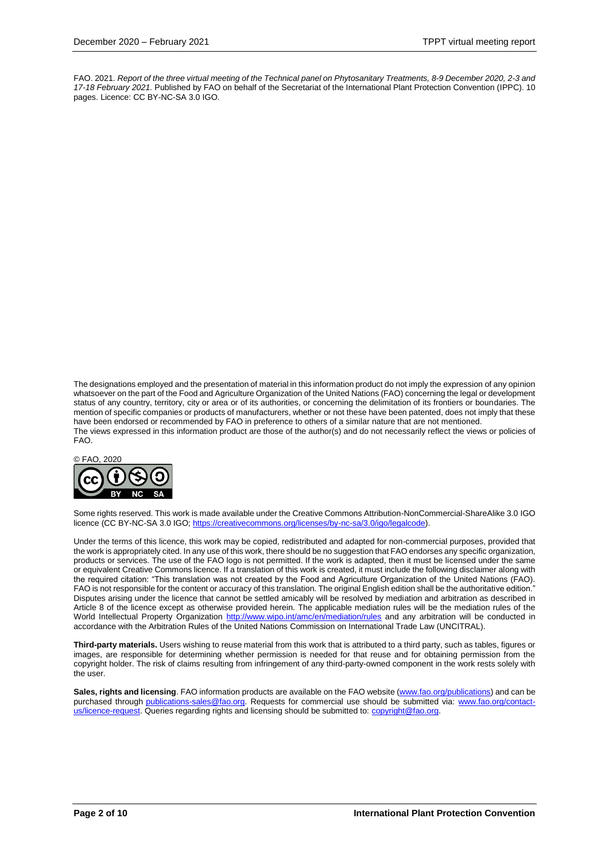FAO. 2021. *Report of the three virtual meeting of the Technical panel on Phytosanitary Treatments, 8-9 December 2020, 2-3 and 17-18 February 2021.* Published by FAO on behalf of the Secretariat of the International Plant Protection Convention (IPPC). 10 pages. Licence: CC BY-NC-SA 3.0 IGO.

The designations employed and the presentation of material in this information product do not imply the expression of any opinion whatsoever on the part of the Food and Agriculture Organization of the United Nations (FAO) concerning the legal or development status of any country, territory, city or area or of its authorities, or concerning the delimitation of its frontiers or boundaries. The mention of specific companies or products of manufacturers, whether or not these have been patented, does not imply that these have been endorsed or recommended by FAO in preference to others of a similar nature that are not mentioned. The views expressed in this information product are those of the author(s) and do not necessarily reflect the views or policies of FAO.



Some rights reserved. This work is made available under the Creative Commons Attribution-NonCommercial-ShareAlike 3.0 IGO licence (CC BY-NC-SA 3.0 IGO[; https://creativecommons.org/licenses/by-nc-sa/3.0/igo/legalcode\)](https://creativecommons.org/licenses/by-nc-sa/3.0/igo/legalcode).

Under the terms of this licence, this work may be copied, redistributed and adapted for non-commercial purposes, provided that the work is appropriately cited. In any use of this work, there should be no suggestion that FAO endorses any specific organization, products or services. The use of the FAO logo is not permitted. If the work is adapted, then it must be licensed under the same or equivalent Creative Commons licence. If a translation of this work is created, it must include the following disclaimer along with the required citation: "This translation was not created by the Food and Agriculture Organization of the United Nations (FAO). FAO is not responsible for the content or accuracy of this translation. The original English edition shall be the authoritative edition." Disputes arising under the licence that cannot be settled amicably will be resolved by mediation and arbitration as described in Article 8 of the licence except as otherwise provided herein. The applicable mediation rules will be the mediation rules of the World Intellectual Property Organization<http://www.wipo.int/amc/en/mediation/rules> and any arbitration will be conducted in accordance with the Arbitration Rules of the United Nations Commission on International Trade Law (UNCITRAL).

**Third-party materials.** Users wishing to reuse material from this work that is attributed to a third party, such as tables, figures or images, are responsible for determining whether permission is needed for that reuse and for obtaining permission from the copyright holder. The risk of claims resulting from infringement of any third-party-owned component in the work rests solely with the user.

Sales, rights and licensing. FAO information products are available on the FAO website [\(www.fao.org/publications\)](http://www.fao.org/publications) and can be purchased through [publications-sales@fao.org.](mailto:publications-sales@fao.org) Requests for commercial use should be submitted via: [www.fao.org/contact](http://www.fao.org/contact-us/licence-request)[us/licence-request.](http://www.fao.org/contact-us/licence-request) Queries regarding rights and licensing should be submitted to[: copyright@fao.org.](mailto:copyright@fao.org)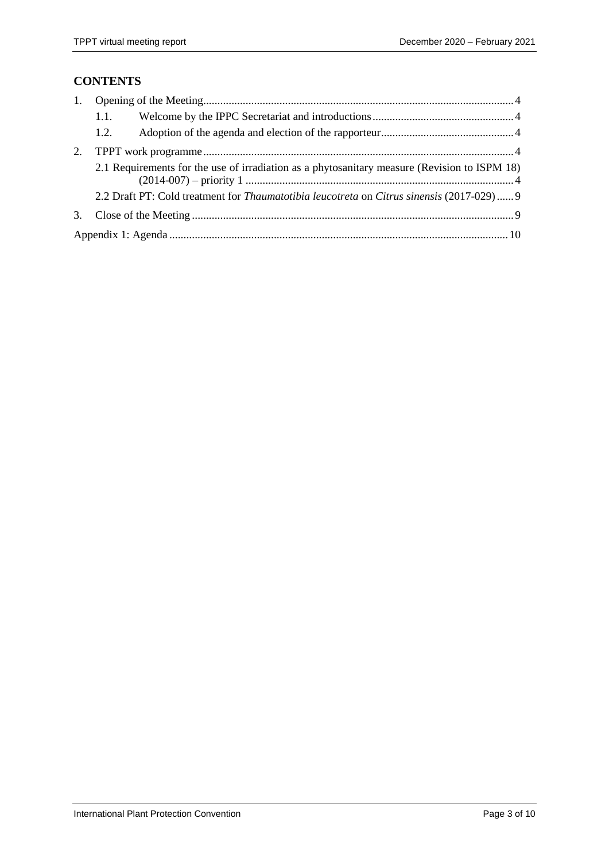### **CONTENTS**

| 1. |                                                                                              |                                                                                           |  |
|----|----------------------------------------------------------------------------------------------|-------------------------------------------------------------------------------------------|--|
|    | 1.1.                                                                                         |                                                                                           |  |
|    | 1.2.                                                                                         |                                                                                           |  |
|    |                                                                                              |                                                                                           |  |
|    | 2.1 Requirements for the use of irradiation as a phytosanitary measure (Revision to ISPM 18) |                                                                                           |  |
|    |                                                                                              | 2.2 Draft PT: Cold treatment for Thaumatotibia leucotreta on Citrus sinensis (2017-029) 9 |  |
| 3. |                                                                                              |                                                                                           |  |
|    |                                                                                              |                                                                                           |  |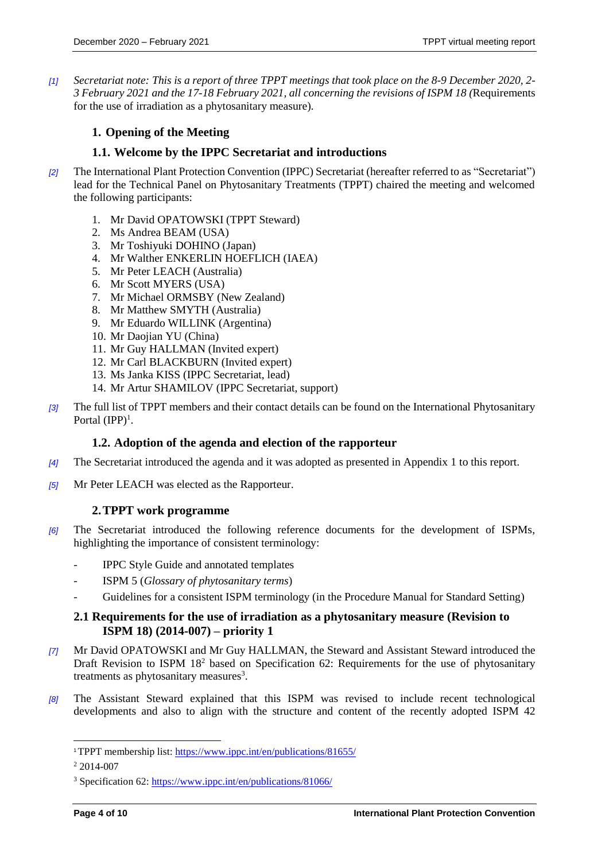*[1] Secretariat note: This is a report of three TPPT meetings that took place on the 8-9 December 2020, 2- 3 February 2021 and the 17-18 February 2021, all concerning the revisions of ISPM 18 (*Requirements for the use of irradiation as a phytosanitary measure)*.*

#### <span id="page-3-0"></span>**1. Opening of the Meeting**

#### <span id="page-3-1"></span>**1.1. Welcome by the IPPC Secretariat and introductions**

- *[2]* The International Plant Protection Convention (IPPC) Secretariat (hereafter referred to as "Secretariat") lead for the Technical Panel on Phytosanitary Treatments (TPPT) chaired the meeting and welcomed the following participants:
	- 1. Mr David OPATOWSKI (TPPT Steward)
	- 2. Ms Andrea BEAM (USA)
	- 3. Mr Toshiyuki DOHINO (Japan)
	- 4. Mr Walther ENKERLIN HOEFLICH (IAEA)
	- 5. Mr Peter LEACH (Australia)
	- 6. Mr Scott MYERS (USA)
	- 7. Mr Michael ORMSBY (New Zealand)
	- 8. Mr Matthew SMYTH (Australia)
	- 9. Mr Eduardo WILLINK (Argentina)
	- 10. Mr Daojian YU (China)
	- 11. Mr Guy HALLMAN (Invited expert)
	- 12. Mr Carl BLACKBURN (Invited expert)
	- 13. Ms Janka KISS (IPPC Secretariat, lead)
	- 14. Mr Artur SHAMILOV (IPPC Secretariat, support)
- *[3]* The full list of TPPT members and their contact details can be found on the International Phytosanitary Portal  $(IPP)^1$ .

#### <span id="page-3-2"></span>**1.2. Adoption of the agenda and election of the rapporteur**

- *[4]* The Secretariat introduced the agenda and it was adopted as presented in Appendix 1 to this report.
- *[5]* Mr Peter LEACH was elected as the Rapporteur.

#### <span id="page-3-3"></span>**2.TPPT work programme**

- *[6]* The Secretariat introduced the following reference documents for the development of ISPMs, highlighting the importance of consistent terminology:
	- IPPC Style Guide and annotated templates
	- ISPM 5 (*Glossary of phytosanitary terms*)
	- Guidelines for a consistent ISPM terminology (in the Procedure Manual for Standard Setting)

#### <span id="page-3-4"></span>**2.1 Requirements for the use of irradiation as a phytosanitary measure (Revision to ISPM 18) (2014-007) – priority 1**

- *[7]* Mr David OPATOWSKI and Mr Guy HALLMAN, the Steward and Assistant Steward introduced the Draft Revision to ISPM 18<sup>2</sup> based on Specification 62: Requirements for the use of phytosanitary treatments as phytosanitary measures<sup>3</sup>.
- *[8]* The Assistant Steward explained that this ISPM was revised to include recent technological developments and also to align with the structure and content of the recently adopted ISPM 42

1

<sup>1</sup>TPPT membership list:<https://www.ippc.int/en/publications/81655/>

<sup>2</sup> 2014-007

<sup>3</sup> Specification 62:<https://www.ippc.int/en/publications/81066/>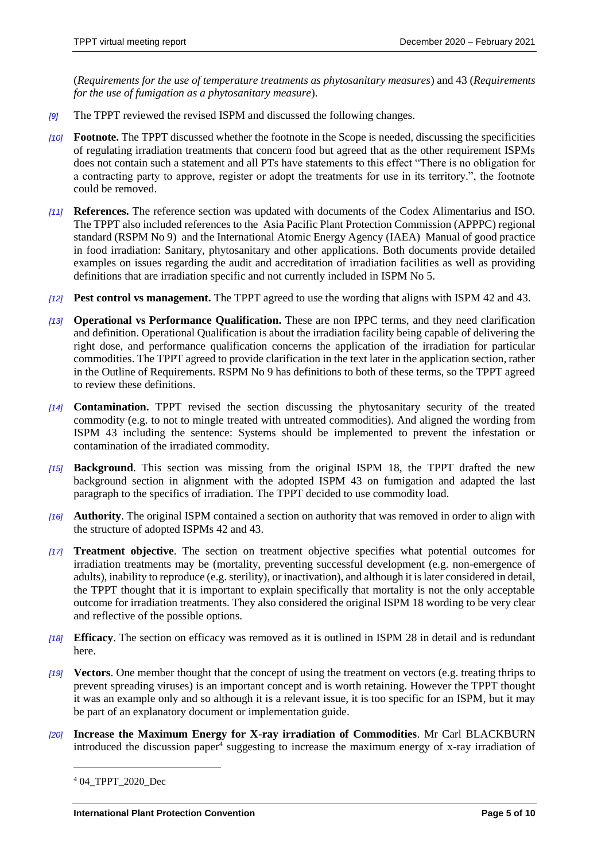(*Requirements for the use of temperature treatments as phytosanitary measures*) and 43 (*Requirements for the use of fumigation as a phytosanitary measure*).

- *[9]* The TPPT reviewed the revised ISPM and discussed the following changes.
- *[10]* **Footnote.** The TPPT discussed whether the footnote in the Scope is needed, discussing the specificities of regulating irradiation treatments that concern food but agreed that as the other requirement ISPMs does not contain such a statement and all PTs have statements to this effect "There is no obligation for a contracting party to approve, register or adopt the treatments for use in its territory.", the footnote could be removed.
- *[11]* **References.** The reference section was updated with documents of the Codex Alimentarius and ISO. The TPPT also included references to the Asia Pacific Plant Protection Commission (APPPC) regional standard (RSPM No 9) and the International Atomic Energy Agency (IAEA) Manual of good practice in food irradiation: Sanitary, phytosanitary and other applications. Both documents provide detailed examples on issues regarding the audit and accreditation of irradiation facilities as well as providing definitions that are irradiation specific and not currently included in ISPM No 5.
- *[12]* **Pest control vs management.** The TPPT agreed to use the wording that aligns with ISPM 42 and 43.
- *[13]* **Operational vs Performance Qualification.** These are non IPPC terms, and they need clarification and definition. Operational Qualification is about the irradiation facility being capable of delivering the right dose, and performance qualification concerns the application of the irradiation for particular commodities. The TPPT agreed to provide clarification in the text later in the application section, rather in the Outline of Requirements. RSPM No 9 has definitions to both of these terms, so the TPPT agreed to review these definitions.
- *[14]* **Contamination.** TPPT revised the section discussing the phytosanitary security of the treated commodity (e.g. to not to mingle treated with untreated commodities). And aligned the wording from ISPM 43 including the sentence: Systems should be implemented to prevent the infestation or contamination of the irradiated commodity.
- *[15]* **Background**. This section was missing from the original ISPM 18, the TPPT drafted the new background section in alignment with the adopted ISPM 43 on fumigation and adapted the last paragraph to the specifics of irradiation. The TPPT decided to use commodity load.
- *[16]* **Authority**. The original ISPM contained a section on authority that was removed in order to align with the structure of adopted ISPMs 42 and 43.
- *[17]* **Treatment objective**. The section on treatment objective specifies what potential outcomes for irradiation treatments may be (mortality, preventing successful development (e.g. non-emergence of adults), inability to reproduce (e.g. sterility), or inactivation), and although it is later considered in detail, the TPPT thought that it is important to explain specifically that mortality is not the only acceptable outcome for irradiation treatments. They also considered the original ISPM 18 wording to be very clear and reflective of the possible options.
- *[18]* **Efficacy**. The section on efficacy was removed as it is outlined in ISPM 28 in detail and is redundant here.
- *[19]* **Vectors**. One member thought that the concept of using the treatment on vectors (e.g. treating thrips to prevent spreading viruses) is an important concept and is worth retaining. However the TPPT thought it was an example only and so although it is a relevant issue, it is too specific for an ISPM, but it may be part of an explanatory document or implementation guide.
- *[20]* **Increase the Maximum Energy for X-ray irradiation of Commodities**. Mr Carl BLACKBURN introduced the discussion paper<sup>4</sup> suggesting to increase the maximum energy of x-ray irradiation of

-

<sup>&</sup>lt;sup>4</sup> 04\_TPPT\_2020\_Dec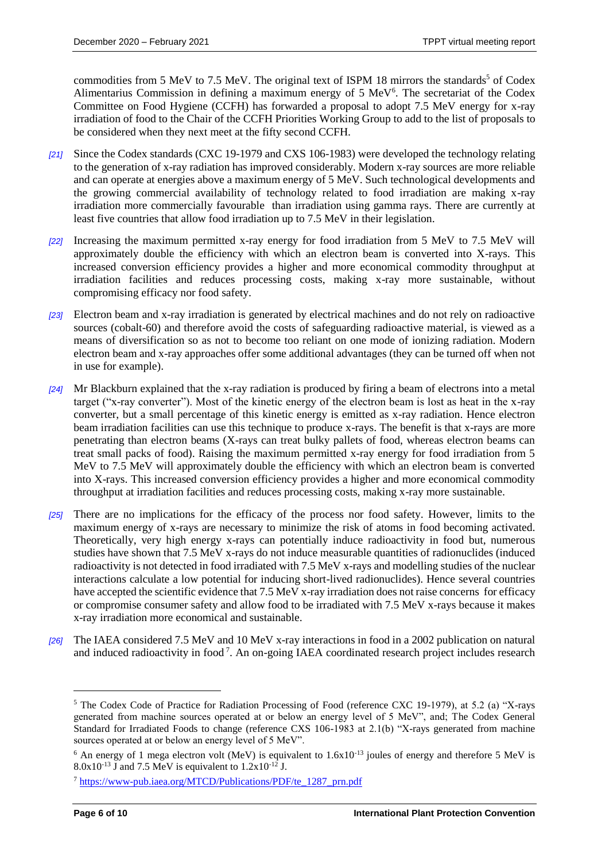commodities from 5 MeV to 7.5 MeV. The original text of ISPM 18 mirrors the standards<sup>5</sup> of Codex Alimentarius Commission in defining a maximum energy of 5 MeV<sup>6</sup>. The secretariat of the Codex Committee on Food Hygiene (CCFH) has forwarded a proposal to adopt 7.5 MeV energy for x-ray irradiation of food to the Chair of the CCFH Priorities Working Group to add to the list of proposals to be considered when they next meet at the fifty second CCFH.

- *[21]* Since the Codex standards (CXC 19-1979 and CXS 106-1983) were developed the technology relating to the generation of x-ray radiation has improved considerably. Modern x-ray sources are more reliable and can operate at energies above a maximum energy of 5 MeV. Such technological developments and the growing commercial availability of technology related to food irradiation are making x-ray irradiation more commercially favourable than irradiation using gamma rays. There are currently at least five countries that allow food irradiation up to 7.5 MeV in their legislation.
- *[22]* Increasing the maximum permitted x-ray energy for food irradiation from 5 MeV to 7.5 MeV will approximately double the efficiency with which an electron beam is converted into X-rays. This increased conversion efficiency provides a higher and more economical commodity throughput at irradiation facilities and reduces processing costs, making x-ray more sustainable, without compromising efficacy nor food safety.
- *[23]* Electron beam and x-ray irradiation is generated by electrical machines and do not rely on radioactive sources (cobalt-60) and therefore avoid the costs of safeguarding radioactive material, is viewed as a means of diversification so as not to become too reliant on one mode of ionizing radiation. Modern electron beam and x-ray approaches offer some additional advantages (they can be turned off when not in use for example).
- *[24]* Mr Blackburn explained that the x-ray radiation is produced by firing a beam of electrons into a metal target ("x-ray converter"). Most of the kinetic energy of the electron beam is lost as heat in the x-ray converter, but a small percentage of this kinetic energy is emitted as x-ray radiation. Hence electron beam irradiation facilities can use this technique to produce x-rays. The benefit is that x-rays are more penetrating than electron beams (X-rays can treat bulky pallets of food, whereas electron beams can treat small packs of food). Raising the maximum permitted x-ray energy for food irradiation from 5 MeV to 7.5 MeV will approximately double the efficiency with which an electron beam is converted into X-rays. This increased conversion efficiency provides a higher and more economical commodity throughput at irradiation facilities and reduces processing costs, making x-ray more sustainable.
- *[25]* There are no implications for the efficacy of the process nor food safety. However, limits to the maximum energy of x-rays are necessary to minimize the risk of atoms in food becoming activated. Theoretically, very high energy x-rays can potentially induce radioactivity in food but, numerous studies have shown that 7.5 MeV x-rays do not induce measurable quantities of radionuclides (induced radioactivity is not detected in food irradiated with 7.5 MeV x-rays and modelling studies of the nuclear interactions calculate a low potential for inducing short-lived radionuclides). Hence several countries have accepted the scientific evidence that 7.5 MeV x-ray irradiation does not raise concerns for efficacy or compromise consumer safety and allow food to be irradiated with 7.5 MeV x-rays because it makes x-ray irradiation more economical and sustainable.
- *[26]* The IAEA considered 7.5 MeV and 10 MeV x-ray interactions in food in a 2002 publication on natural and induced radioactivity in food<sup>7</sup>. An on-going IAEA coordinated research project includes research

-

<sup>5</sup> The Codex Code of Practice for Radiation Processing of Food (reference CXC 19-1979), at 5.2 (a) "X-rays generated from machine sources operated at or below an energy level of 5 MeV", and; The Codex General Standard for Irradiated Foods to change (reference CXS 106-1983 at 2.1(b) "X-rays generated from machine sources operated at or below an energy level of 5 MeV".

 $6$  An energy of 1 mega electron volt (MeV) is equivalent to  $1.6x10^{-13}$  joules of energy and therefore 5 MeV is 8.0x10<sup>-13</sup> J and 7.5 MeV is equivalent to  $1.2x10^{-12}$  J.

<sup>7</sup> [https://www-pub.iaea.org/MTCD/Publications/PDF/te\\_1287\\_prn.pdf](https://www-pub.iaea.org/MTCD/Publications/PDF/te_1287_prn.pdf)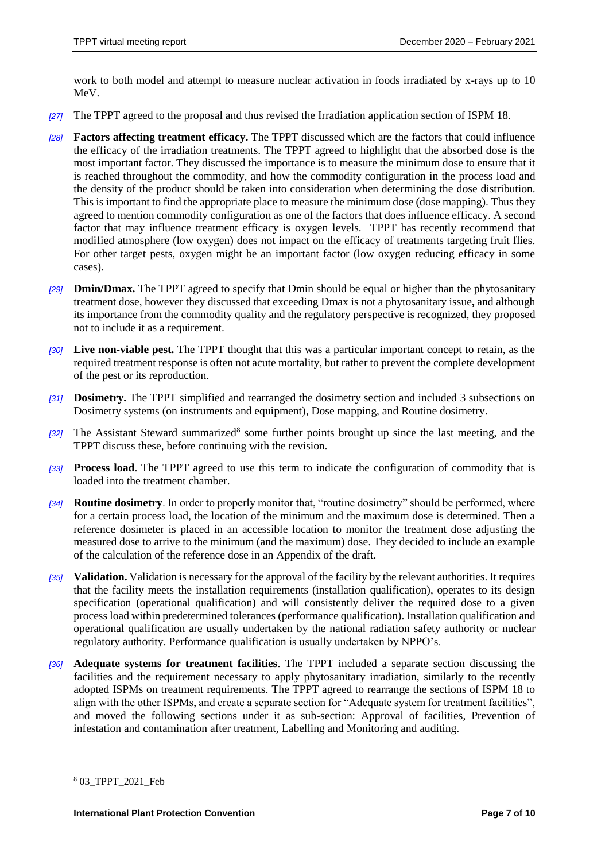work to both model and attempt to measure nuclear activation in foods irradiated by x-rays up to 10 MeV.

- *[27]* The TPPT agreed to the proposal and thus revised the Irradiation application section of ISPM 18.
- *[28]* **Factors affecting treatment efficacy.** The TPPT discussed which are the factors that could influence the efficacy of the irradiation treatments. The TPPT agreed to highlight that the absorbed dose is the most important factor. They discussed the importance is to measure the minimum dose to ensure that it is reached throughout the commodity, and how the commodity configuration in the process load and the density of the product should be taken into consideration when determining the dose distribution. This is important to find the appropriate place to measure the minimum dose (dose mapping). Thus they agreed to mention commodity configuration as one of the factors that does influence efficacy. A second factor that may influence treatment efficacy is oxygen levels. TPPT has recently recommend that modified atmosphere (low oxygen) does not impact on the efficacy of treatments targeting fruit flies. For other target pests, oxygen might be an important factor (low oxygen reducing efficacy in some cases).
- *[29]* **Dmin/Dmax.** The TPPT agreed to specify that Dmin should be equal or higher than the phytosanitary treatment dose, however they discussed that exceeding Dmax is not a phytosanitary issue**,** and although its importance from the commodity quality and the regulatory perspective is recognized, they proposed not to include it as a requirement.
- *[30]* **Live non-viable pest.** The TPPT thought that this was a particular important concept to retain, as the required treatment response is often not acute mortality, but rather to prevent the complete development of the pest or its reproduction.
- *[31]* **Dosimetry.** The TPPT simplified and rearranged the dosimetry section and included 3 subsections on Dosimetry systems (on instruments and equipment), Dose mapping, and Routine dosimetry.
- [32] The Assistant Steward summarized<sup>8</sup> some further points brought up since the last meeting, and the TPPT discuss these, before continuing with the revision.
- *[33]* **Process load**. The TPPT agreed to use this term to indicate the configuration of commodity that is loaded into the treatment chamber.
- *[34]* **Routine dosimetry**. In order to properly monitor that, "routine dosimetry" should be performed, where for a certain process load, the location of the minimum and the maximum dose is determined. Then a reference dosimeter is placed in an accessible location to monitor the treatment dose adjusting the measured dose to arrive to the minimum (and the maximum) dose. They decided to include an example of the calculation of the reference dose in an Appendix of the draft.
- *[35]* **Validation.** Validation is necessary for the approval of the facility by the relevant authorities. It requires that the facility meets the installation requirements (installation qualification), operates to its design specification (operational qualification) and will consistently deliver the required dose to a given process load within predetermined tolerances (performance qualification). Installation qualification and operational qualification are usually undertaken by the national radiation safety authority or nuclear regulatory authority. Performance qualification is usually undertaken by NPPO's.
- *[36]* **Adequate systems for treatment facilities**. The TPPT included a separate section discussing the facilities and the requirement necessary to apply phytosanitary irradiation, similarly to the recently adopted ISPMs on treatment requirements. The TPPT agreed to rearrange the sections of ISPM 18 to align with the other ISPMs, and create a separate section for "Adequate system for treatment facilities", and moved the following sections under it as sub-section: Approval of facilities, Prevention of infestation and contamination after treatment, Labelling and Monitoring and auditing.

-

<sup>8</sup> 03\_TPPT\_2021\_Feb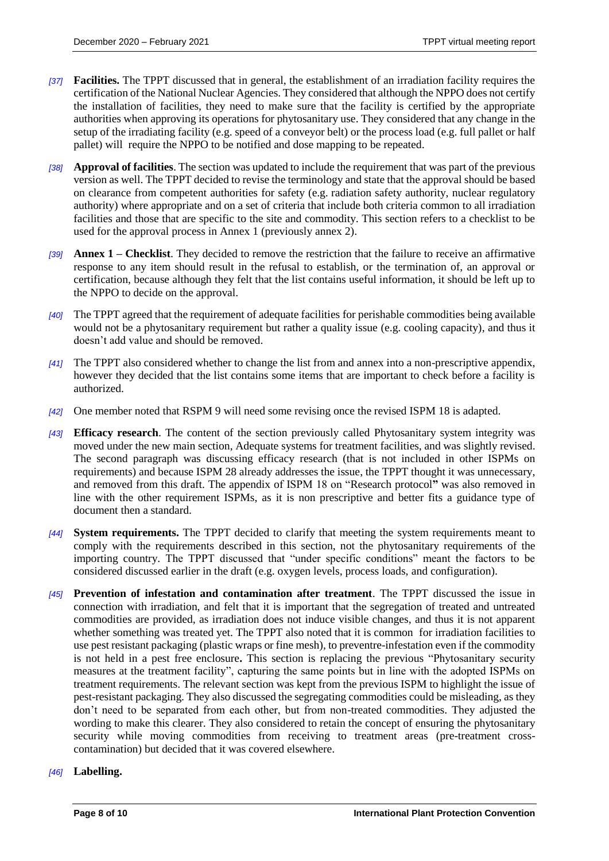- *[37]* **Facilities.** The TPPT discussed that in general, the establishment of an irradiation facility requires the certification of the National Nuclear Agencies. They considered that although the NPPO does not certify the installation of facilities, they need to make sure that the facility is certified by the appropriate authorities when approving its operations for phytosanitary use. They considered that any change in the setup of the irradiating facility (e.g. speed of a conveyor belt) or the process load (e.g. full pallet or half pallet) will require the NPPO to be notified and dose mapping to be repeated.
- *[38]* **Approval of facilities**. The section was updated to include the requirement that was part of the previous version as well. The TPPT decided to revise the terminology and state that the approval should be based on clearance from competent authorities for safety (e.g. radiation safety authority, nuclear regulatory authority) where appropriate and on a set of criteria that include both criteria common to all irradiation facilities and those that are specific to the site and commodity. This section refers to a checklist to be used for the approval process in Annex 1 (previously annex 2).
- *[39]* **Annex 1 – Checklist**. They decided to remove the restriction that the failure to receive an affirmative response to any item should result in the refusal to establish, or the termination of, an approval or certification, because although they felt that the list contains useful information, it should be left up to the NPPO to decide on the approval.
- *[40]* The TPPT agreed that the requirement of adequate facilities for perishable commodities being available would not be a phytosanitary requirement but rather a quality issue (e.g. cooling capacity), and thus it doesn't add value and should be removed.
- *[41]* The TPPT also considered whether to change the list from and annex into a non-prescriptive appendix, however they decided that the list contains some items that are important to check before a facility is authorized.
- *[42]* One member noted that RSPM 9 will need some revising once the revised ISPM 18 is adapted.
- *[43]* **Efficacy research**. The content of the section previously called Phytosanitary system integrity was moved under the new main section, Adequate systems for treatment facilities, and was slightly revised. The second paragraph was discussing efficacy research (that is not included in other ISPMs on requirements) and because ISPM 28 already addresses the issue, the TPPT thought it was unnecessary, and removed from this draft. The appendix of ISPM 18 on "Research protocol**"** was also removed in line with the other requirement ISPMs, as it is non prescriptive and better fits a guidance type of document then a standard.
- *[44]* **System requirements.** The TPPT decided to clarify that meeting the system requirements meant to comply with the requirements described in this section, not the phytosanitary requirements of the importing country. The TPPT discussed that "under specific conditions" meant the factors to be considered discussed earlier in the draft (e.g. oxygen levels, process loads, and configuration).
- *[45]* **Prevention of infestation and contamination after treatment**. The TPPT discussed the issue in connection with irradiation, and felt that it is important that the segregation of treated and untreated commodities are provided, as irradiation does not induce visible changes, and thus it is not apparent whether something was treated yet. The TPPT also noted that it is common for irradiation facilities to use pest resistant packaging (plastic wraps or fine mesh), to preventre-infestation even if the commodity is not held in a pest free enclosure**.** This section is replacing the previous "Phytosanitary security measures at the treatment facility", capturing the same points but in line with the adopted ISPMs on treatment requirements. The relevant section was kept from the previous ISPM to highlight the issue of pest-resistant packaging. They also discussed the segregating commodities could be misleading, as they don't need to be separated from each other, but from non-treated commodities. They adjusted the wording to make this clearer. They also considered to retain the concept of ensuring the phytosanitary security while moving commodities from receiving to treatment areas (pre-treatment crosscontamination) but decided that it was covered elsewhere.
- *[46]* **Labelling.**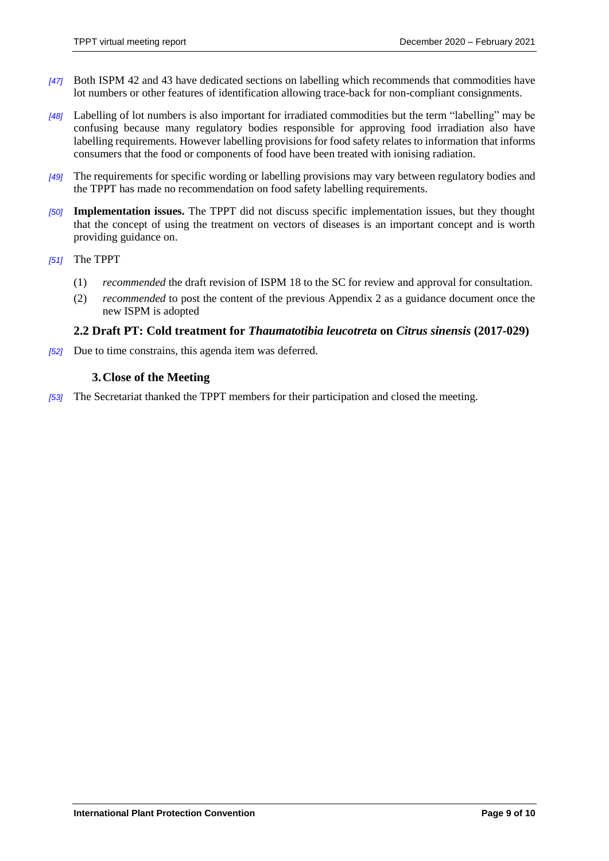- *[47]* Both ISPM 42 and 43 have dedicated sections on labelling which recommends that commodities have lot numbers or other features of identification allowing trace-back for non-compliant consignments.
- *[48]* Labelling of lot numbers is also important for irradiated commodities but the term "labelling" may be confusing because many regulatory bodies responsible for approving food irradiation also have labelling requirements. However labelling provisions for food safety relates to information that informs consumers that the food or components of food have been treated with ionising radiation.
- *[49]* The requirements for specific wording or labelling provisions may vary between regulatory bodies and the TPPT has made no recommendation on food safety labelling requirements.
- *[50]* **Implementation issues.** The TPPT did not discuss specific implementation issues, but they thought that the concept of using the treatment on vectors of diseases is an important concept and is worth providing guidance on.

#### *[51]* The TPPT

- (1) *recommended* the draft revision of ISPM 18 to the SC for review and approval for consultation.
- (2) *recommended* to post the content of the previous Appendix 2 as a guidance document once the new ISPM is adopted

#### <span id="page-8-0"></span>**2.2 Draft PT: Cold treatment for** *Thaumatotibia leucotreta* **on** *Citrus sinensis* **(2017-029)**

*[52]* Due to time constrains, this agenda item was deferred.

#### <span id="page-8-1"></span>**3.Close of the Meeting**

*[53]* The Secretariat thanked the TPPT members for their participation and closed the meeting.